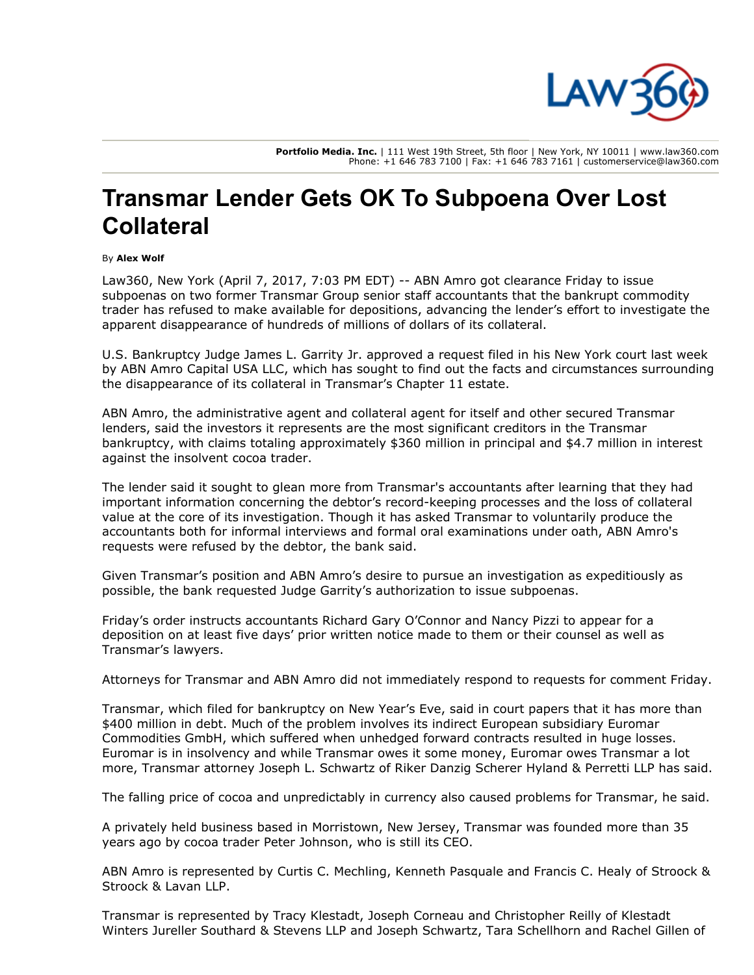

Portfolio Media. Inc. | 111 West 19th Street, 5th floor | New York, NY 10011 | www.law360.com Phone: +1 646 783 7100 | Fax: +1 646 783 7161 | customerservice@law360.com

## Transmar Lender Gets OK To Subpoena Over Lost **Collateral**

## By Alex Wolf

Law360, New York (April 7, 2017, 7:03 PM EDT) -- [ABN Amro](https://www.law360.com/companies/abn-amro-bank-nv) got clearance Friday to issue subpoenas on two former Transmar Group senior staff accountants that the bankrupt commodity trader has refused to make available for depositions, advancing the lender's effort to investigate the apparent disappearance of hundreds of millions of dollars of its collateral.

U.S. Bankruptcy Judge James L. Garrity Jr. approved a request filed in his New York court last week by ABN Amro Capital USA LLC, which has sought to find out the facts and circumstances surrounding the disappearance of its collateral in Transmar's Chapter 11 estate.

ABN Amro, the administrative agent and collateral agent for itself and other secured Transmar lenders, said the investors it represents are the most significant creditors in the Transmar bankruptcy, with claims totaling approximately \$360 million in principal and \$4.7 million in interest against the insolvent cocoa trader.

The lender said it sought to glean more from Transmar's accountants after learning that they had important information concerning the debtor's record-keeping processes and the loss of collateral value at the core of its investigation. Though it has asked Transmar to voluntarily produce the accountants both for informal interviews and formal oral examinations under oath, ABN Amro's requests were refused by the debtor, the bank said.

Given Transmar's position and ABN Amro's desire to pursue an investigation as expeditiously as possible, the bank requested Judge Garrity's authorization to issue subpoenas.

Friday's order instructs accountants Richard Gary O'Connor and Nancy Pizzi to appear for a deposition on at least five days' prior written notice made to them or their counsel as well as Transmar's lawyers.

Attorneys for Transmar and ABN Amro did not immediately respond to requests for comment Friday.

Transmar, which [filed for bankruptcy](https://www.law360.com/articles/877687) on New Year's Eve, said in court papers that it has more than \$400 million in debt. Much of the problem involves its indirect European subsidiary Euromar Commodities GmbH, which suffered when unhedged forward contracts resulted in huge losses. Euromar is in insolvency and while Transmar owes it some money, Euromar owes Transmar a lot more, Transmar attorney Joseph L. Schwartz of [Riker Danzig Scherer Hyland & Perretti LLP](https://www.law360.com/firms/riker-danzig) has said.

The falling price of cocoa and unpredictably in currency also caused problems for Transmar, he said.

A privately held business based in Morristown, New Jersey, Transmar was founded more than 35 years ago by cocoa trader Peter Johnson, who is still its CEO.

[ABN Amro is represented by Curtis C. Mechling, Kenneth Pasquale and Francis C. Healy of Stroock &](https://www.law360.com/firms/stroock-stroock) Stroock & Lavan LLP.

Transmar is represented by Tracy Klestadt, Joseph Corneau and Christopher Reilly of Klestadt [Winters Jureller Southard & Stevens LLP and Joseph Schwartz, Tara Schellhorn and Rachel Gil](https://www.law360.com/firms/klestadt-winters)len of